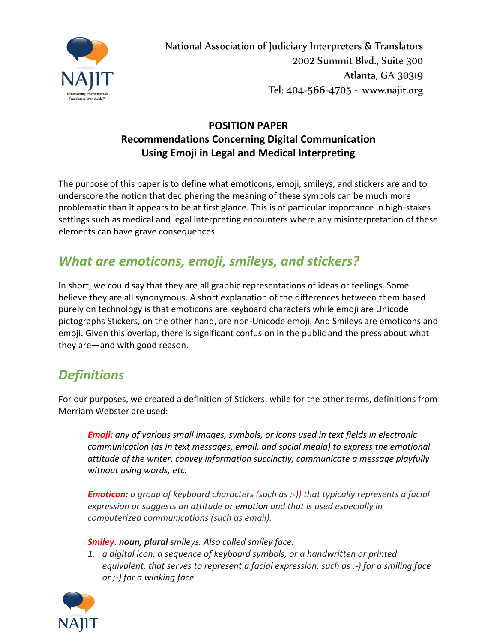

National Association of Judiciary Interpreters & Translators 2002 Summit Blvd., Suite 300 Atlanta, GA 30319 Tel:  $404 - 566 - 4705 \sim$  www.najit.org

## **POSITION PAPER Recommendations Concerning Digital Communication Using Emoji in Legal and Medical Interpreting**

The purpose of this paper is to define what emoticons, emoji, smileys, and stickers are and to underscore the notion that deciphering the meaning of these symbols can be much more problematic than it appears to be at first glance. This is of particular importance in high-stakes settings such as medical and legal interpreting encounters where any misinterpretation of these elements can have grave consequences.

## *What are emoticons, emoji, smileys, and stickers?*

In short, we could say that they are all graphic representations of ideas or feelings. Some believe they are all synonymous. A short explanation of the differences between them based purely on technology is that emoticons are keyboard characters while emoji are Unicode pictographs Stickers, on the other hand, are non-Unicode emoji. And Smileys are emoticons and emoji. Given this overlap, there is significant confusion in the public and the press about what they are—and with good reason.

# *Definitions*

For our purposes, we created a definition of Stickers, while for the other terms, definitions from Merriam Webster are used:

*Emoji: any of various small images, symbols, or icons used in text fields in electronic communication (as in text messages, email, and social media) to express the emotional attitude of the writer, convey information succinctly, communicate a message playfully without using words, etc.*

*Emoticon: a group of keyboard characters (such as :-)) that typically represents a facial expression or suggests an attitude or [emotion](https://www.merriam-webster.com/dictionary/emotion) and that is used especially in computerized communications (such as email).*

### *Smiley: noun, plural smileys. Also called smiley face.*

*1. a digital icon, a sequence of keyboard symbols, or a handwritten or printed equivalent, that serves to represent a facial expression, such as :‐) for a smiling face or ;‐) for a winking face.*

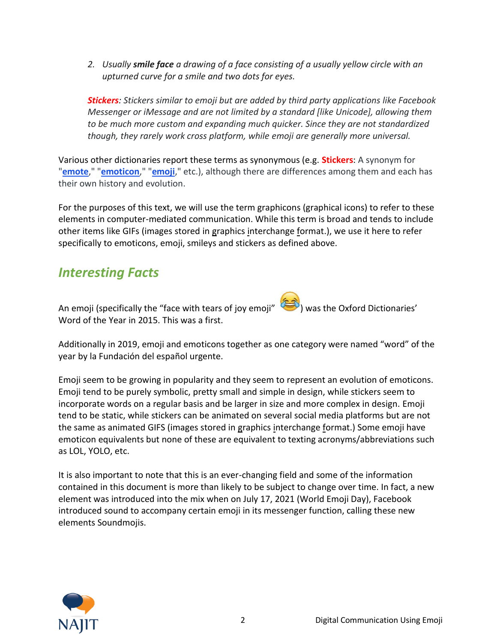*2. Usually smile face a drawing of a face consisting of a usually yellow circle with an upturned curve for a smile and two dots for eyes.*

*Stickers: Stickers similar to emoji but are added by third party applications like Facebook Messenger or iMessage and are not limited by a standard [like Unicode], allowing them to be much more custom and expanding much quicker. Since they are not standardized though, they rarely work cross platform, while emoji are generally more universal.*

Various other dictionaries report these terms as synonymous (e.g. **Stickers**: A synonym for "**[emote](https://www.urbandictionary.com/define.php?term=emote)**," "**[emoticon](https://www.urbandictionary.com/define.php?term=emoticon)**," "**[emoji](https://www.urbandictionary.com/define.php?term=emoji)**," etc.), although there are differences among them and each has their own history and evolution.

For the purposes of this text, we will use the term graphicons (graphical icons) to refer to these elements in computer-mediated communication. While this term is broad and tends to include other items like GIFs (images stored in graphics interchange format.), we use it here to refer specifically to emoticons, emoji, smileys and stickers as defined above.

## *Interesting Facts*

An emoji (specifically the "face with tears of joy emoji" ) was the Oxford Dictionaries' Word of the Year in 2015. This was a first.

Additionally in 2019, emoji and emoticons together as one category were named "word" of the year by la Fundación del español urgente.

Emoji seem to be growing in popularity and they seem to represent an evolution of emoticons. Emoji tend to be purely symbolic, pretty small and simple in design, while stickers seem to incorporate words on a regular basis and be larger in size and more complex in design. Emoji tend to be static, while stickers can be animated on several social media platforms but are not the same as animated GIFS (images stored in graphics interchange format.) Some emoji have emoticon equivalents but none of these are equivalent to texting acronyms/abbreviations such as LOL, YOLO, etc.

It is also important to note that this is an ever-changing field and some of the information contained in this document is more than likely to be subject to change over time. In fact, a new element was introduced into the mix when on July 17, 2021 (World Emoji Day), Facebook introduced sound to accompany certain emoji in its messenger function, calling these new elements Soundmojis.

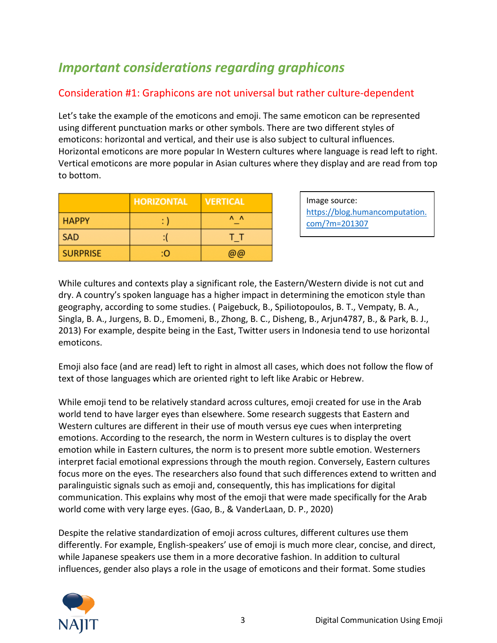# *Important considerations regarding graphicons*

## Consideration #1: Graphicons are not universal but rather culture-dependent

Let's take the example of the emoticons and emoji. The same emoticon can be represented using different punctuation marks or other symbols. There are two different styles of emoticons: horizontal and vertical, and their use is also subject to cultural influences. Horizontal emoticons are more popular In Western cultures where language is read left to right. Vertical emoticons are more popular in Asian cultures where they display and are read from top to bottom.

|                 | <b>HORIZONTAL</b> | <b>VERTICAL</b>     |
|-----------------|-------------------|---------------------|
| <b>HAPPY</b>    | : )               | $\Lambda$ $\Lambda$ |
| <b>SAD</b>      |                   | ΤТ                  |
| <b>SURPRISE</b> | ÷О                | @@                  |

Image source: https://blog.humancomputation. com/?m=201307

While cultures and contexts play a significant role, the Eastern/Western divide is not cut and dry. A country's spoken language has a higher impact in determining the emoticon style than geography, according to some studies. ( Paigebuck, B., Spiliotopoulos, B. T., Vempaty, B. A., Singla, B. A., Jurgens, B. D., Emomeni, B., Zhong, B. C., Disheng, B., Arjun4787, B., & Park, B. J., 2013) For example, despite being in the East, Twitter users in Indonesia tend to use horizontal emoticons.

Emoji also face (and are read) left to right in almost all cases, which does not follow the flow of text of those languages which are oriented right to left like Arabic or Hebrew.

While emoji tend to be relatively standard across cultures, emoji created for use in the Arab world tend to have larger eyes than elsewhere. Some research suggests that Eastern and Western cultures are different in their use of mouth versus eye cues when interpreting emotions. According to the research, the norm in Western cultures is to display the overt emotion while in Eastern cultures, the norm is to present more subtle emotion. Westerners interpret facial emotional expressions through the mouth region. Conversely, Eastern cultures focus more on the eyes. The researchers also found that such differences extend to written and paralinguistic signals such as emoji and, consequently, this has implications for digital communication. This explains why most of the emoji that were made specifically for the Arab world come with very large eyes. (Gao, B., & VanderLaan, D. P., 2020)

Despite the relative standardization of emoji across cultures, different cultures use them differently. For example, English-speakers' use of emoji is much more clear, concise, and direct, while Japanese speakers use them in a more decorative fashion. In addition to cultural influences, gender also plays a role in the usage of emoticons and their format. Some studies

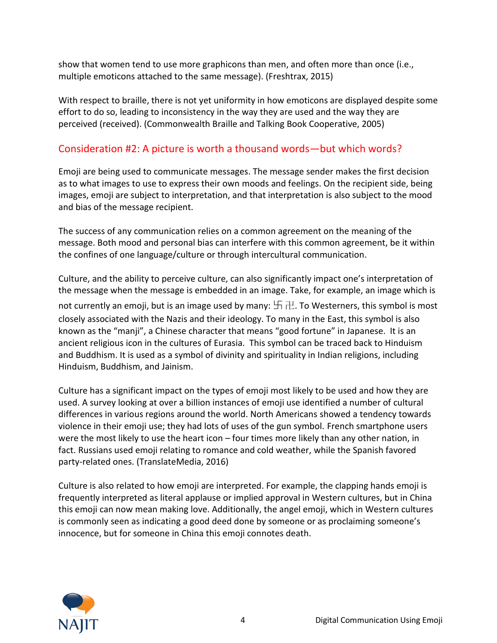show that women tend to use more graphicons than men, and often more than once (i.e., multiple emoticons attached to the same message). (Freshtrax, 2015)

With respect to braille, there is not yet uniformity in how emoticons are displayed despite some effort to do so, leading to inconsistency in the way they are used and the way they are perceived (received). (Commonwealth Braille and Talking Book Cooperative, 2005)

## Consideration #2: A picture is worth a thousand words—but which words?

Emoji are being used to communicate messages. The message sender makes the first decision as to what images to use to express their own moods and feelings. On the recipient side, being images, emoji are subject to interpretation, and that interpretation is also subject to the mood and bias of the message recipient.

The success of any communication relies on a common agreement on the meaning of the message. Both mood and personal bias can interfere with this common agreement, be it within the confines of one language/culture or through intercultural communication.

Culture, and the ability to perceive culture, can also significantly impact one's interpretation of the message when the message is embedded in an image. Take, for example, an image which is not currently an emoji, but is an image used by many:  $\Box \Box$ . To Westerners, this symbol is most closely associated with the Nazis and their ideology. To many in the East, this symbol is also known as the "manji", a Chinese character that means "good fortune" in Japanese. It is an ancient religious icon in the cultures of Eurasia. This symbol can be traced back to Hinduism and Buddhism. It is used as a symbol of divinity and spirituality in Indian religions, including Hinduism, Buddhism, and Jainism.

Culture has a significant impact on the types of emoji most likely to be used and how they are used. A survey looking at over a billion instances of emoji use identified a number of cultural differences in various regions around the world. North Americans showed a tendency towards violence in their emoji use; they had lots of uses of the gun symbol. [French](https://www.translatemedia.com/translation-services/french/) smartphone users were the most likely to use the heart icon – four times more likely than any other nation, in fact. [Russians](https://www.translatemedia.com/translation-services/russian/) used emoji relating to romance and cold weather, while th[e Spanish](https://www.translatemedia.com/translation-services/spanish/) favored party-related ones. (TranslateMedia, 2016)

Culture is also related to how emoji are interpreted. For example, the clapping hands emoji is frequently interpreted as literal applause or implied approval in Western cultures, but in China this emoji can now mean making love. Additionally, the angel emoji, which in Western cultures is commonly seen as indicating a good deed done by someone or as proclaiming someone's innocence, but for someone in China this emoji connotes death.

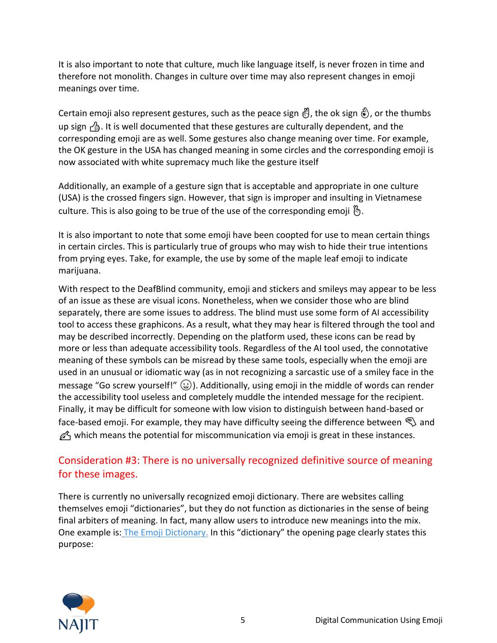It is also important to note that culture, much like language itself, is never frozen in time and therefore not monolith. Changes in culture over time may also represent changes in emoji meanings over time.

Certain emoji also represent gestures, such as the peace sign  $\mathcal{E}$ , the ok sign  $\mathcal{E}$ ), or the thumbs up sign  $\triangle$ . It is well documented that these gestures are culturally dependent, and the corresponding emoji are as well. Some gestures also change meaning over time. For example, the OK gesture in the USA has changed meaning in some circles and the corresponding emoji is now associated with white supremacy much like the gesture itself

Additionally, an example of a gesture sign that is acceptable and appropriate in one culture (USA) is the crossed fingers sign. However, that sign is improper and insulting in Vietnamese culture. This is also going to be true of the use of the corresponding emoji  $\mathcal{B}$ .

It is also important to note that some emoji have been coopted for use to mean certain things in certain circles. This is particularly true of groups who may wish to hide their true intentions from prying eyes. Take, for example, the use by some of the maple leaf emoji to indicate marijuana.

With respect to the DeafBlind community, emoji and stickers and smileys may appear to be less of an issue as these are visual icons. Nonetheless, when we consider those who are blind separately, there are some issues to address. The blind must use some form of AI accessibility tool to access these graphicons. As a result, what they may hear is filtered through the tool and may be described incorrectly. Depending on the platform used, these icons can be read by more or less than adequate accessibility tools. Regardless of the AI tool used, the connotative meaning of these symbols can be misread by these same tools, especially when the emoji are used in an unusual or idiomatic way (as in not recognizing a sarcastic use of a smiley face in the message "Go screw yourself!"  $\left(\frac{1}{2}\right)$ . Additionally, using emoji in the middle of words can render the accessibility tool useless and completely muddle the intended message for the recipient. Finally, it may be difficult for someone with low vision to distinguish between hand-based or face-based emoji. For example, they may have difficulty seeing the difference between  $\mathcal{L}$  and  $\mathscr{D}_1$  which means the potential for miscommunication via emoji is great in these instances.

## Consideration #3: There is no universally recognized definitive source of meaning for these images.

There is currently no universally recognized emoji dictionary. There are websites calling themselves emoji "dictionaries", but they do not function as dictionaries in the sense of being final arbiters of meaning. In fact, many allow users to introduce new meanings into the mix. One example is: [The Emoji Dictionary.](https://emojidictionary.emojifoundation.com/) In this "dictionary" the opening page clearly states this purpose:

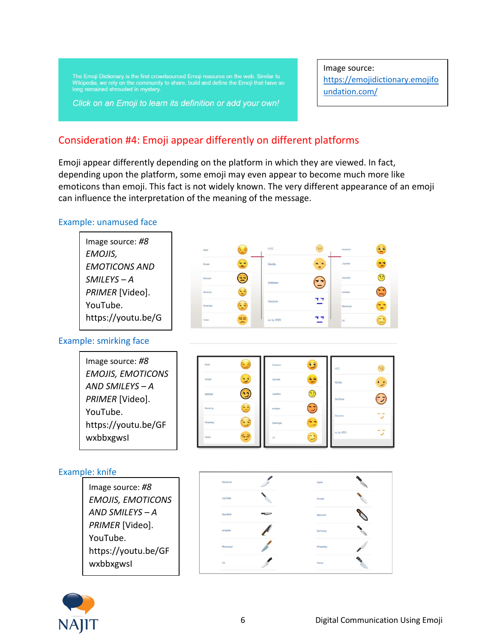The Emoji Dictionary is the first crowdsourced Emoji resource on the web. Similar to Wikipedia, we rely on the community to share, build and define the Emoji that have so long remained shrouded in mystery.

Click on an Emoji to learn its definition or add your own!

Image source: https://emojidictionary.emojifo undation.com/

## Consideration #4: Emoji appear differently on different platforms

Emoji appear differently depending on the platform in which they are viewed. In fact, depending upon the platform, some emoji may even appear to become much more like emoticons than emoji. This fact is not widely known. The very different appearance of an emoji can influence the interpretation of the meaning of the message.

#### Example: unamused face





YouTube.

wxbbxgwsI

https://youtu.be/GF

Twitter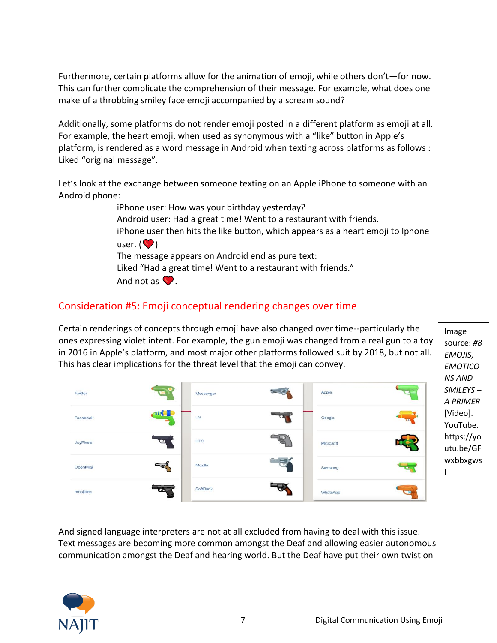Furthermore, certain platforms allow for the animation of emoji, while others don't—for now. This can further complicate the comprehension of their message. For example, what does one make of a throbbing smiley face emoji accompanied by a scream sound?

Additionally, some platforms do not render emoji posted in a different platform as emoji at all. For example, the heart emoji, when used as synonymous with a "like" button in Apple's platform, is rendered as a word message in Android when texting across platforms as follows : Liked "original message".

Let's look at the exchange between someone texting on an Apple iPhone to someone with an Android phone:

> iPhone user: How was your birthday yesterday? Android user: Had a great time! Went to a restaurant with friends. iPhone user then hits the like button, which appears as a heart emoji to Iphone user.  $\left( \bigotimes \right)$ The message appears on Android end as pure text: Liked "Had a great time! Went to a restaurant with friends." And not as  $\bullet$ .

### Consideration #5: Emoji conceptual rendering changes over time

Certain renderings of concepts through emoji have also changed over time--particularly the ones expressing violet intent. For example, the gun emoji was changed from a real gun to a toy in 2016 in Apple's platform, and most major other platforms followed suit by 2018, but not all. This has clear implications for the threat level that the emoji can convey.



And signed language interpreters are not at all excluded from having to deal with this issue. Text messages are becoming more common amongst the Deaf and allowing easier autonomous communication amongst the Deaf and hearing world. But the Deaf have put their own twist on



Image source: *#8 EMOJIS, EMOTICO*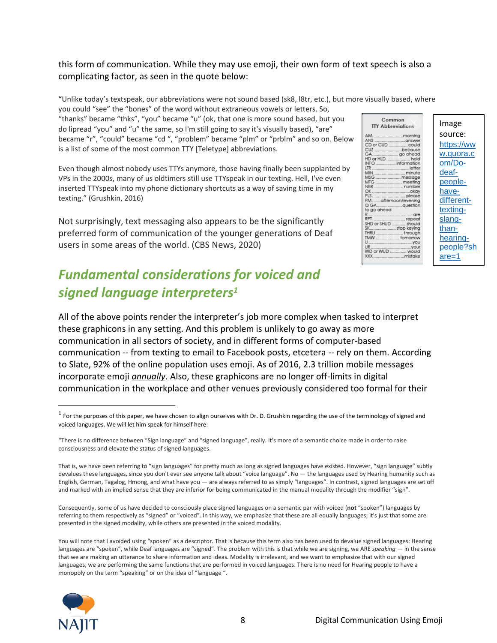### this form of communication. While they may use emoji, their own form of text speech is also a complicating factor, as seen in the quote below:

"Unlike today's textspeak, our abbreviations were not sound based (sk8, l8tr, etc.), but more visually based, where you could "see" the "bones" of the word without extraneous vowels or letters. So,

"thanks" became "thks", "you" became "u" (ok, that one is more sound based, but you do lipread "you" and "u" the same, so I'm still going to say it's visually based), "are" became "r", "could" became "cd ", "problem" became "plm" or "prblm" and so on. Below is a list of some of the most common TTY [Teletype] abbreviations.

Even though almost nobody uses TTYs anymore, those having finally been supplanted by VPs in the 2000s, many of us oldtimers still use TTYspeak in our texting. Hell, I've even inserted TTYspeak into my phone dictionary shortcuts as a way of saving time in my texting." (Grushkin, 2016)

Not surprisingly, text messaging also appears to be the significantly preferred form of communication of the younger generations of Deaf users in some areas of the world. (CBS News, 2020)

# *Fundamental considerations for voiced and signed language interpreters<sup>1</sup>*

All of the above points render the interpreter's job more complex when tasked to interpret these graphicons in any setting. And this problem is unlikely to go away as more communication in all sectors of society, and in different forms of computer-based communication -- from texting to email to Facebook posts, etcetera -- rely on them. According to Slate, [92% of the online population uses emoji.](https://slate.com/technology/2019/11/emoji-court-cases-crime-free-speech-contract-law.html) As of 2016, 2.3 trillion mobile messages incorporate emoji *annually*. Also, these graphicons are no longer off-limits in digital communication in the workplace and other venues previously considered too formal for their

Consequently, some of us have decided to consciously place signed languages on a semantic par with voiced (**not** "spoken") languages by referring to them respectively as "signed" or "voiced". In this way, we emphasize that these are all equally languages; it's just that some are presented in the signed modality, while others are presented in the voiced modality.

You will note that I avoided using "spoken" as a descriptor. That is because this term also has been used to devalue signed languages: Hearing languages are "spoken", while Deaf languages are "signed". The problem with this is that while we are signing, we ARE *speaking* — in the sense that we are making an utterance to share information and ideas. Modality is irrelevant, and we want to emphasize that with our signed languages, we are performing the same functions that are performed in voiced languages. There is no need for Hearing people to have a monopoly on the term "speaking" or on the idea of "language ".





 $^1$  For the purposes of this paper, we have chosen to align ourselves with Dr. D. Grushkin regarding the use of the terminology of signed and voiced languages. We will let him speak for himself here:

<sup>&</sup>quot;There is no difference between "Sign language" and "signed language", really. It's more of a semantic choice made in order to raise consciousness and elevate the status of signed languages.

That is, we have been referring to "sign languages" for pretty much as long as signed languages have existed. However, "sign language" subtly devalues these languages, since you don't ever see anyone talk about "voice language". No — the languages used by Hearing humanity such as English, German, Tagalog, Hmong, and what have you — are always referred to as simply "languages". In contrast, signed languages are set off and marked with an implied sense that they are inferior for being communicated in the manual modality through the modifier "sign".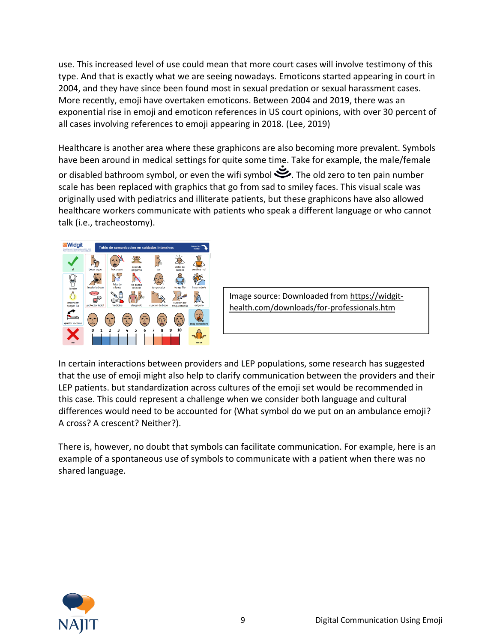use. This increased level of use could mean that more court cases will involve testimony of this type. And that is exactly what we are seeing nowadays. Emoticons started appearing in court in 2004, and they have since been found most in sexual predation or sexual harassment cases. More recently, emoji have overtaken emoticons. Between [2004 and 2019,](https://digitalcommons.law.scu.edu/cgi/viewcontent.cgi?article=2894&context=historical) there was an exponential rise in emoji and emoticon references in US court opinions, with over 30 percent of all cases involving references to emoji appearing in 2018. (Lee, 2019)

Healthcare is another area where these graphicons are also becoming more prevalent. Symbols have been around in medical settings for quite some time. Take for example, the male/female or disabled bathroom symbol, or even the wifi symbol  $\mathcal{S}$ . The old zero to ten pain number scale has been replaced with graphics that go from sad to smiley faces. This visual scale was originally used with pediatrics and illiterate patients, but these graphicons have also allowed healthcare workers communicate with patients who speak a different language or who cannot talk (i.e., tracheostomy).



Image source: Downloaded from https://widgithealth.com/downloads/for-professionals.htm

In certain interactions between providers and LEP populations, some research has suggested that the use of emoji might also help to clarify communication between the providers and their LEP patients. but standardization across cultures of the emoji set would be recommended in this case. This could represent a challenge when we consider both language and cultural differences would need to be accounted for (What symbol do we put on an ambulance emoji? A cross? A crescent? Neither?).

There is, however, no doubt that symbols can facilitate communication. For example, here is an example of a spontaneous use of symbols to communicate with a patient when there was no shared language.

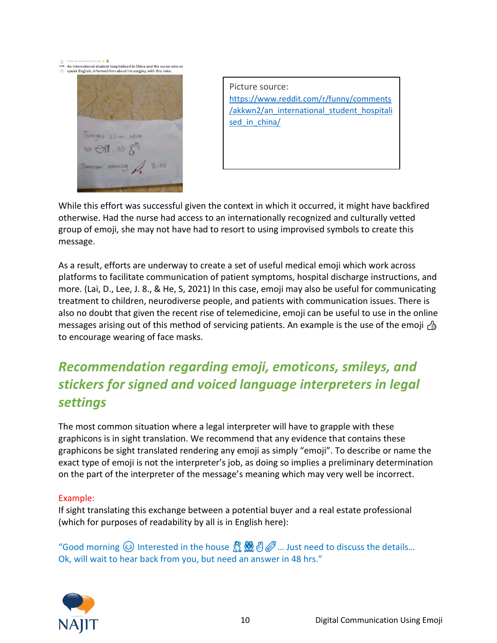ນາ<br>115k An international student hospitalised in China and the nurse who c<br>↔ speak English, informed him about his surgery with this note.



Picture source: https://www.reddit.com/r/funny/comments /akkwn2/an\_international\_student\_hospitali sed in china/

While this effort was successful given the context in which it occurred, it might have backfired otherwise. Had the nurse had access to an internationally recognized and culturally vetted group of emoji, she may not have had to resort to using improvised symbols to create this message.

As a result, efforts are underway to create a set of useful medical emoji which work across platforms to facilitate communication of patient symptoms, hospital discharge instructions, and more. (Lai, D., Lee, J. 8., & He, S, 2021) In this case, emoji may also be useful for communicating treatment to children, neurodiverse people, and patients with communication issues. There is also no doubt that given the recent rise of telemedicine, emoji can be useful to use in the online messages arising out of this method of servicing patients. An example is the use of the emoji  $\beta$ to encourage wearing of face masks.

# *Recommendation regarding emoji, emoticons, smileys, and stickers for signed and voiced language interpreters in legal settings*

The most common situation where a legal interpreter will have to grapple with these graphicons is in sight translation. We recommend that any evidence that contains these graphicons be sight translated rendering any emoji as simply "emoji". To describe or name the exact type of emoji is not the interpreter's job, as doing so implies a preliminary determination on the part of the interpreter of the message's meaning which may very well be incorrect.

### Example:

If sight translating this exchange between a potential buyer and a real estate professional (which for purposes of readability by all is in English here):

"Good morning  $\odot$  Interested in the house  $\mathbb{Z} \times \mathbb{Z}$ . Just need to discuss the details... Ok, will wait to hear back from you, but need an answer in 48 hrs."

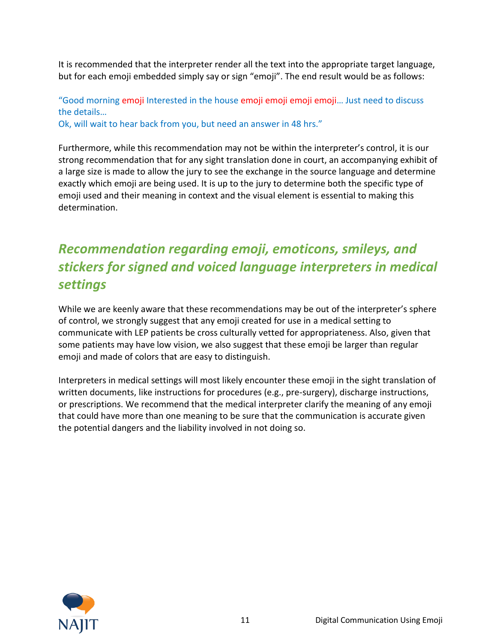It is recommended that the interpreter render all the text into the appropriate target language, but for each emoji embedded simply say or sign "emoji". The end result would be as follows:

"Good morning emoji Interested in the house emoji emoji emoji emoji… Just need to discuss the details…

Ok, will wait to hear back from you, but need an answer in 48 hrs."

Furthermore, while this recommendation may not be within the interpreter's control, it is our strong recommendation that for any sight translation done in court, an accompanying exhibit of a large size is made to allow the jury to see the exchange in the source language and determine exactly which emoji are being used. It is up to the jury to determine both the specific type of emoji used and their meaning in context and the visual element is essential to making this determination.

# *Recommendation regarding emoji, emoticons, smileys, and stickers for signed and voiced language interpreters in medical settings*

While we are keenly aware that these recommendations may be out of the interpreter's sphere of control, we strongly suggest that any emoji created for use in a medical setting to communicate with LEP patients be cross culturally vetted for appropriateness. Also, given that some patients may have low vision, we also suggest that these emoji be larger than regular emoji and made of colors that are easy to distinguish.

Interpreters in medical settings will most likely encounter these emoji in the sight translation of written documents, like instructions for procedures (e.g., pre-surgery), discharge instructions, or prescriptions. We recommend that the medical interpreter clarify the meaning of any emoji that could have more than one meaning to be sure that the communication is accurate given the potential dangers and the liability involved in not doing so.

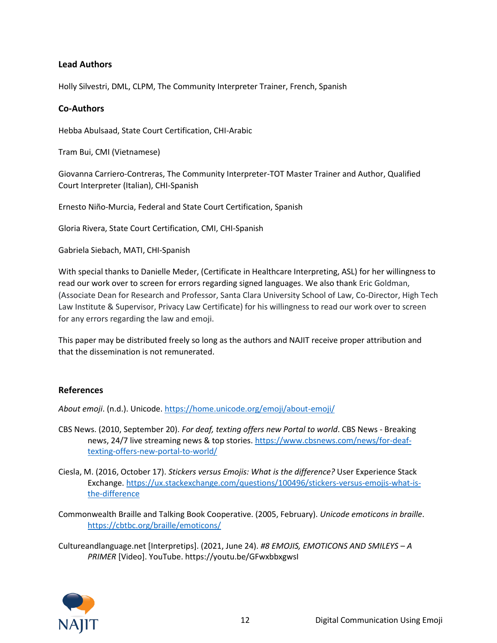### **Lead Authors**

Holly Silvestri, DML, CLPM, The Community Interpreter Trainer, French, Spanish

### **Co-Authors**

Hebba Abulsaad, State Court Certification, CHI-Arabic

Tram Bui, CMI (Vietnamese)

Giovanna Carriero-Contreras, The Community Interpreter-TOT Master Trainer and Author, Qualified Court Interpreter (Italian), CHI-Spanish

Ernesto Niño-Murcia, Federal and State Court Certification, Spanish

Gloria Rivera, State Court Certification, CMI, CHI-Spanish

Gabriela Siebach, MATI, CHI-Spanish

With special thanks to Danielle Meder, (Certificate in Healthcare Interpreting, ASL) for her willingness to read our work over to screen for errors regarding signed languages. We also thank Eric Goldman, (Associate Dean for Research and Professor, Santa Clara University School of Law, Co-Director, High Tech Law Institute & Supervisor, Privacy Law Certificate) for his willingness to read our work over to screen for any errors regarding the law and emoji.

This paper may be distributed freely so long as the authors and NAJIT receive proper attribution and that the dissemination is not remunerated.

### **References**

*About emoji*. (n.d.). Unicode.<https://home.unicode.org/emoji/about-emoji/>

- CBS News. (2010, September 20). *For deaf, texting offers new Portal to world*. CBS News Breaking news, 24/7 live streaming news & top stories. [https://www.cbsnews.com/news/for-deaf](https://www.cbsnews.com/news/for-deaf-texting-offers-new-portal-to-world/)[texting-offers-new-portal-to-world/](https://www.cbsnews.com/news/for-deaf-texting-offers-new-portal-to-world/)
- Ciesla, M. (2016, October 17). *Stickers versus Emojis: What is the difference?* User Experience Stack Exchange[. https://ux.stackexchange.com/questions/100496/stickers-versus-emojis-what-is](https://ux.stackexchange.com/questions/100496/stickers-versus-emojis-what-is-the-difference)[the-difference](https://ux.stackexchange.com/questions/100496/stickers-versus-emojis-what-is-the-difference)
- Commonwealth Braille and Talking Book Cooperative. (2005, February). *Unicode emoticons in braille*. <https://cbtbc.org/braille/emoticons/>

Cultureandlanguage.net [Interpretips]. (2021, June 24). *#8 EMOJIS, EMOTICONS AND SMILEYS – A PRIMER* [Video]. YouTube. https://youtu.be/GFwxbbxgwsI

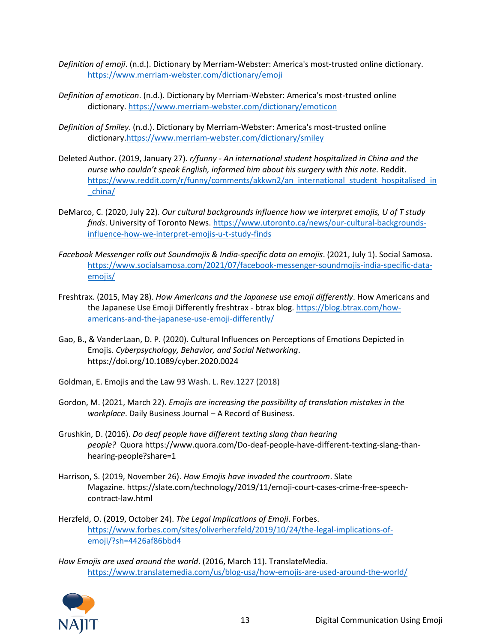- *Definition of emoji*. (n.d.). Dictionary by Merriam-Webster: America's most-trusted online dictionary. <https://www.merriam-webster.com/dictionary/emoji>
- *Definition of emoticon*. (n.d.). Dictionary by Merriam-Webster: America's most-trusted online dictionary.<https://www.merriam-webster.com/dictionary/emoticon>
- *Definition of Smiley*. (n.d.). Dictionary by Merriam-Webster: America's most-trusted online dictionary[.https://www.merriam-webster.com/dictionary/smiley](https://www.merriam-webster.com/dictionary/smiley)
- Deleted Author. (2019, January 27). *r/funny - An international student hospitalized in China and the nurse who couldn't speak English, informed him about his surgery with this note.* Reddit. [https://www.reddit.com/r/funny/comments/akkwn2/an\\_international\\_student\\_hospitalised\\_in](https://www.reddit.com/r/funny/comments/akkwn2/an_international_student_hospitalised_in_china/) [\\_china/](https://www.reddit.com/r/funny/comments/akkwn2/an_international_student_hospitalised_in_china/)
- DeMarco, C. (2020, July 22). *Our cultural backgrounds influence how we interpret emojis, U of T study finds*. University of Toronto News[. https://www.utoronto.ca/news/our-cultural-backgrounds](https://www.utoronto.ca/news/our-cultural-backgrounds-influence-how-we-interpret-emojis-u-t-study-finds)[influence-how-we-interpret-emojis-u-t-study-finds](https://www.utoronto.ca/news/our-cultural-backgrounds-influence-how-we-interpret-emojis-u-t-study-finds)
- *Facebook Messenger rolls out Soundmojis & India-specific data on emojis*. (2021, July 1). Social Samosa. [https://www.socialsamosa.com/2021/07/facebook-messenger-soundmojis-india-specific-data](https://www.socialsamosa.com/2021/07/facebook-messenger-soundmojis-india-specific-data-emojis/)[emojis/](https://www.socialsamosa.com/2021/07/facebook-messenger-soundmojis-india-specific-data-emojis/)
- Freshtrax. (2015, May 28). *How Americans and the Japanese use emoji differently*. How Americans and the Japanese Use Emoji Differently freshtrax - btrax blog. [https://blog.btrax.com/how](https://blog.btrax.com/how-americans-and-the-japanese-use-emoji-differently/)[americans-and-the-japanese-use-emoji-differently/](https://blog.btrax.com/how-americans-and-the-japanese-use-emoji-differently/)
- Gao, B., & VanderLaan, D. P. (2020). Cultural Influences on Perceptions of Emotions Depicted in Emojis. *Cyberpsychology, Behavior, and Social Networking*. https://doi.org/10.1089/cyber.2020.0024
- Goldman, E[. Emojis and the Law](https://ssrn.com/abstract=3133412) 93 Wash. L. Rev.1227 (2018)
- Gordon, M. (2021, March 22). *Emojis are increasing the possibility of translation mistakes in the workplace*. Daily Business Journal – A Record of Business.
- Grushkin, D. (2016). *Do deaf people have different texting slang than hearing people?* Quora [https://www.quora.com/Do-deaf-people-have-different-texting-slang-than](https://www.quora.com/Do-deaf-people-have-different-texting-slang-than-hearing-people?share=1)[hearing-people?share=1](https://www.quora.com/Do-deaf-people-have-different-texting-slang-than-hearing-people?share=1)
- Harrison, S. (2019, November 26). *How Emojis have invaded the courtroom*. Slate Magazine. [https://slate.com/technology/2019/11/emoji-court-cases-crime-free-speech](https://slate.com/technology/2019/11/emoji-court-cases-crime-free-speech-contract-law.html)[contract-law.html](https://slate.com/technology/2019/11/emoji-court-cases-crime-free-speech-contract-law.html)
- Herzfeld, O. (2019, October 24). *The Legal Implications of Emoji*. Forbes. [https://www.forbes.com/sites/oliverherzfeld/2019/10/24/the-legal-implications-of](https://www.forbes.com/sites/oliverherzfeld/2019/10/24/the-legal-implications-of-emoji/?sh=4426af86bbd4)[emoji/?sh=4426af86bbd4](https://www.forbes.com/sites/oliverherzfeld/2019/10/24/the-legal-implications-of-emoji/?sh=4426af86bbd4)
- *How Emojis are used around the world*. (2016, March 11). TranslateMedia. <https://www.translatemedia.com/us/blog-usa/how-emojis-are-used-around-the-world/>

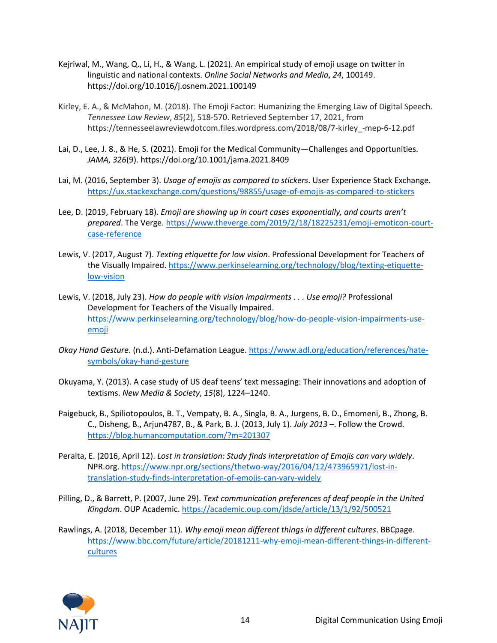- Kejriwal, M., Wang, Q., Li, H., & Wang, L. (2021). An empirical study of emoji usage on twitter in linguistic and national contexts. *Online Social Networks and Media*, *24*, 100149. https://doi.org/10.1016/j.osnem.2021.100149
- Kirley, E. A., & McMahon, M. (2018). The Emoji Factor: Humanizing the Emerging Law of Digital Speech. *Tennessee Law Review*, *85*(2), 518-570. Retrieved September 17, 2021, from https://tennesseelawreviewdotcom.files.wordpress.com/2018/08/7-kirley\_-mep-6-12.pdf
- Lai, D., Lee, J. 8., & He, S. (2021). Emoji for the Medical Community—Challenges and Opportunities. *JAMA*, *326*(9). https://doi.org/10.1001/jama.2021.8409
- Lai, M. (2016, September 3). *Usage of emojis as compared to stickers*. User Experience Stack Exchange. <https://ux.stackexchange.com/questions/98855/usage-of-emojis-as-compared-to-stickers>
- Lee, D. (2019, February 18). *Emoji are showing up in court cases exponentially, and courts aren't prepared*. The Verge[. https://www.theverge.com/2019/2/18/18225231/emoji-emoticon-court](https://www.theverge.com/2019/2/18/18225231/emoji-emoticon-court-case-reference)[case-reference](https://www.theverge.com/2019/2/18/18225231/emoji-emoticon-court-case-reference)
- Lewis, V. (2017, August 7). *Texting etiquette for low vision*. Professional Development for Teachers of the Visually Impaired[. https://www.perkinselearning.org/technology/blog/texting-etiquette](https://www.perkinselearning.org/technology/blog/texting-etiquette-low-vision)[low-vision](https://www.perkinselearning.org/technology/blog/texting-etiquette-low-vision)
- Lewis, V. (2018, July 23). *How do people with vision impairments . . . Use emoji?* Professional Development for Teachers of the Visually Impaired. [https://www.perkinselearning.org/technology/blog/how-do-people-vision-impairments-use](https://www.perkinselearning.org/technology/blog/how-do-people-vision-impairments-use-emoji)[emoji](https://www.perkinselearning.org/technology/blog/how-do-people-vision-impairments-use-emoji)
- *Okay Hand Gesture*. (n.d.). Anti-Defamation League[. https://www.adl.org/education/references/hate](https://www.adl.org/education/references/hate-symbols/okay-hand-gesture)[symbols/okay-hand-gesture](https://www.adl.org/education/references/hate-symbols/okay-hand-gesture)
- Okuyama, Y. (2013). A case study of US deaf teens' text messaging: Their innovations and adoption of textisms. *New Media & Society*, *15*(8), 1224–1240.
- Paigebuck, B., Spiliotopoulos, B. T., Vempaty, B. A., Singla, B. A., Jurgens, B. D., Emomeni, B., Zhong, B. C., Disheng, B., Arjun4787, B., & Park, B. J. (2013, July 1). *July 2013 –*. Follow the Crowd. <https://blog.humancomputation.com/?m=201307>
- Peralta, E. (2016, April 12). *Lost in translation: Study finds interpretation of Emojis can vary widely*. NPR.org[. https://www.npr.org/sections/thetwo-way/2016/04/12/473965971/lost-in](https://www.npr.org/sections/thetwo-way/2016/04/12/473965971/lost-in-translation-study-finds-interpretation-of-emojis-can-vary-widely)[translation-study-finds-interpretation-of-emojis-can-vary-widely](https://www.npr.org/sections/thetwo-way/2016/04/12/473965971/lost-in-translation-study-finds-interpretation-of-emojis-can-vary-widely)
- Pilling, D., & Barrett, P. (2007, June 29). *Text communication preferences of deaf people in the United Kingdom*. OUP Academic.<https://academic.oup.com/jdsde/article/13/1/92/500521>
- Rawlings, A. (2018, December 11). *Why emoji mean different things in different cultures*. BBCpage. [https://www.bbc.com/future/article/20181211-why-emoji-mean-different-things-in-different](https://www.bbc.com/future/article/20181211-why-emoji-mean-different-things-in-different-cultures)[cultures](https://www.bbc.com/future/article/20181211-why-emoji-mean-different-things-in-different-cultures)